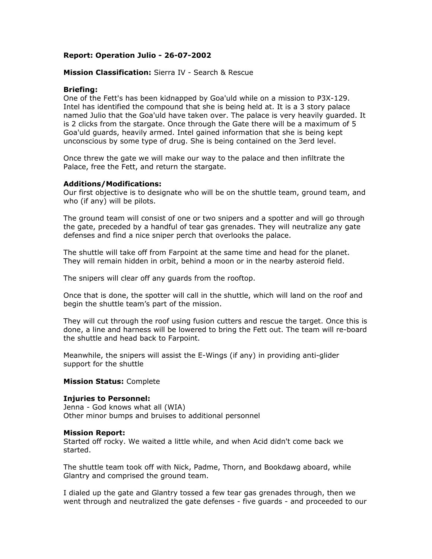# **Report: Operation Julio - 26-07-2002**

## **Mission Classification:** Sierra IV - Search & Rescue

## **Briefing:**

One of the Fett's has been kidnapped by Goa'uld while on a mission to P3X-129. Intel has identified the compound that she is being held at. It is a 3 story palace named Julio that the Goa'uld have taken over. The palace is very heavily guarded. It is 2 clicks from the stargate. Once through the Gate there will be a maximum of 5 Goa'uld guards, heavily armed. Intel gained information that she is being kept unconscious by some type of drug. She is being contained on the 3erd level.

Once threw the gate we will make our way to the palace and then infiltrate the Palace, free the Fett, and return the stargate.

# **Additions/Modifications:**

Our first objective is to designate who will be on the shuttle team, ground team, and who (if any) will be pilots.

The ground team will consist of one or two snipers and a spotter and will go through the gate, preceded by a handful of tear gas grenades. They will neutralize any gate defenses and find a nice sniper perch that overlooks the palace.

The shuttle will take off from Farpoint at the same time and head for the planet. They will remain hidden in orbit, behind a moon or in the nearby asteroid field.

The snipers will clear off any guards from the rooftop.

Once that is done, the spotter will call in the shuttle, which will land on the roof and begin the shuttle team's part of the mission.

They will cut through the roof using fusion cutters and rescue the target. Once this is done, a line and harness will be lowered to bring the Fett out. The team will re-board the shuttle and head back to Farpoint.

Meanwhile, the snipers will assist the E-Wings (if any) in providing anti-glider support for the shuttle

### **Mission Status:** Complete

### **Injuries to Personnel:**

Jenna - God knows what all (WIA) Other minor bumps and bruises to additional personnel

### **Mission Report:**

Started off rocky. We waited a little while, and when Acid didn't come back we started.

The shuttle team took off with Nick, Padme, Thorn, and Bookdawg aboard, while Glantry and comprised the ground team.

I dialed up the gate and Glantry tossed a few tear gas grenades through, then we went through and neutralized the gate defenses - five guards - and proceeded to our